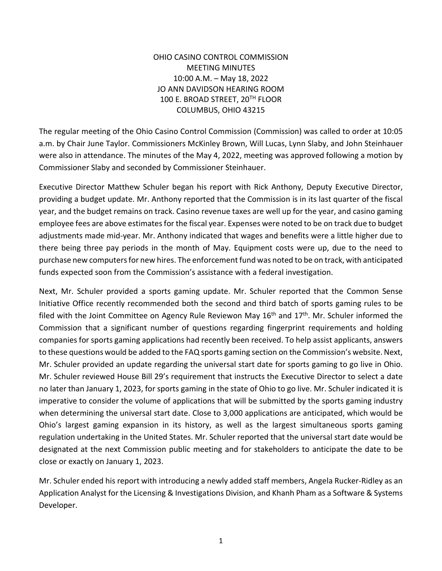## OHIO CASINO CONTROL COMMISSION MEETING MINUTES 10:00 A.M. – May 18, 2022 JO ANN DAVIDSON HEARING ROOM 100 E. BROAD STREET, 20TH FLOOR COLUMBUS, OHIO 43215

The regular meeting of the Ohio Casino Control Commission (Commission) was called to order at 10:05 a.m. by Chair June Taylor. Commissioners McKinley Brown, Will Lucas, Lynn Slaby, and John Steinhauer were also in attendance. The minutes of the May 4, 2022, meeting was approved following a motion by Commissioner Slaby and seconded by Commissioner Steinhauer.

Executive Director Matthew Schuler began his report with Rick Anthony, Deputy Executive Director, providing a budget update. Mr. Anthony reported that the Commission is in its last quarter of the fiscal year, and the budget remains on track. Casino revenue taxes are well up for the year, and casino gaming employee fees are above estimates for the fiscal year. Expenses were noted to be on track due to budget adjustments made mid-year. Mr. Anthony indicated that wages and benefits were a little higher due to there being three pay periods in the month of May. Equipment costs were up, due to the need to purchase new computers for new hires. The enforcement fund was noted to be on track, with anticipated funds expected soon from the Commission's assistance with a federal investigation.

Next, Mr. Schuler provided a sports gaming update. Mr. Schuler reported that the Common Sense Initiative Office recently recommended both the second and third batch of sports gaming rules to be filed with the Joint Committee on Agency Rule Reviewon May 16<sup>th</sup> and 17<sup>th</sup>. Mr. Schuler informed the Commission that a significant number of questions regarding fingerprint requirements and holding companies for sports gaming applications had recently been received. To help assist applicants, answers to these questions would be added to the FAQ sports gaming section on the Commission's website. Next, Mr. Schuler provided an update regarding the universal start date for sports gaming to go live in Ohio. Mr. Schuler reviewed House Bill 29's requirement that instructs the Executive Director to select a date no later than January 1, 2023, for sports gaming in the state of Ohio to go live. Mr. Schuler indicated it is imperative to consider the volume of applications that will be submitted by the sports gaming industry when determining the universal start date. Close to 3,000 applications are anticipated, which would be Ohio's largest gaming expansion in its history, as well as the largest simultaneous sports gaming regulation undertaking in the United States. Mr. Schuler reported that the universal start date would be designated at the next Commission public meeting and for stakeholders to anticipate the date to be close or exactly on January 1, 2023.

Mr. Schuler ended his report with introducing a newly added staff members, Angela Rucker-Ridley as an Application Analyst for the Licensing & Investigations Division, and Khanh Pham as a Software & Systems Developer.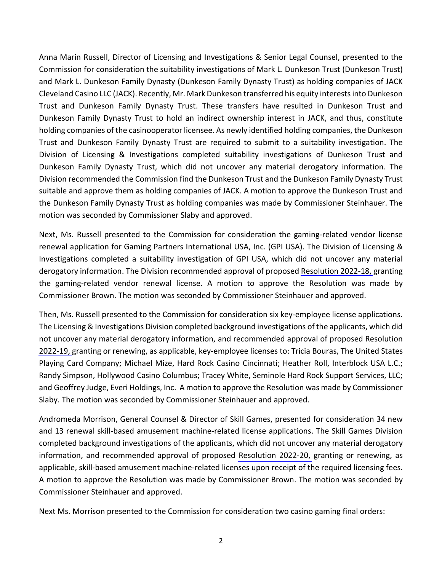Anna Marin Russell, Director of Licensing and Investigations & Senior Legal Counsel, presented to the Commission for consideration the suitability investigations of Mark L. Dunkeson Trust (Dunkeson Trust) and Mark L. Dunkeson Family Dynasty (Dunkeson Family Dynasty Trust) as holding companies of JACK Cleveland Casino LLC (JACK). Recently, Mr. Mark Dunkeson transferred his equity interests into Dunkeson Trust and Dunkeson Family Dynasty Trust. These transfers have resulted in Dunkeson Trust and Dunkeson Family Dynasty Trust to hold an indirect ownership interest in JACK, and thus, constitute holding companies of the casinooperator licensee. As newly identified holding companies, the Dunkeson Trust and Dunkeson Family Dynasty Trust are required to submit to a suitability investigation. The Division of Licensing & Investigations completed suitability investigations of Dunkeson Trust and Dunkeson Family Dynasty Trust, which did not uncover any material derogatory information. The Division recommended the Commission find the Dunkeson Trust and the Dunkeson Family Dynasty Trust suitable and approve them as holding companies of JACK. A motion to approve the Dunkeson Trust and the Dunkeson Family Dynasty Trust as holding companies was made by Commissioner Steinhauer. The motion was seconded by Commissioner Slaby and approved.

Next, Ms. Russell presented to the Commission for consideration the gaming-related vendor license renewal application for Gaming Partners International USA, Inc. (GPI USA). The Division of Licensing & Investigations completed a suitability investigation of GPI USA, which did not uncover any material derogatory information. The Division recommended approval of proposed [Resolution 2022-18,](https://casinocontrol.ohio.gov/Portals/0/Resolutions/2022/Resolution%202022-18_GPI%20USA_GRV%20License.pdf?ver=pHmBg8xa4Z2jf-BkG8luMg%3d%3d) granting the gaming-related vendor renewal license. A motion to approve the Resolution was made by Commissioner Brown. The motion was seconded by Commissioner Steinhauer and approved.

Then, Ms. Russell presented to the Commission for consideration six key-employee license applications. The Licensing & Investigations Division completed background investigations of the applicants, which did not uncover any material derogatory information, and recommended approval of proposed [Resolution](https://casinocontrol.ohio.gov/Portals/0/Resolutions/2022/Resolution%202022-19_Key-Employee%20Licenses_May%202022.pdf?ver=zi8NSrLbFI83CqB7UoqJQQ%3d%3d)  [2022-19,](https://casinocontrol.ohio.gov/Portals/0/Resolutions/2022/Resolution%202022-19_Key-Employee%20Licenses_May%202022.pdf?ver=zi8NSrLbFI83CqB7UoqJQQ%3d%3d) granting or renewing, as applicable, key-employee licenses to: Tricia Bouras, The United States Playing Card Company; Michael Mize, Hard Rock Casino Cincinnati; Heather Roll, Interblock USA L.C.; Randy Simpson, Hollywood Casino Columbus; Tracey White, Seminole Hard Rock Support Services, LLC; and Geoffrey Judge, Everi Holdings, Inc. A motion to approve the Resolution was made by Commissioner Slaby. The motion was seconded by Commissioner Steinhauer and approved.

Andromeda Morrison, General Counsel & Director of Skill Games, presented for consideration 34 new and 13 renewal skill-based amusement machine-related license applications. The Skill Games Division completed background investigations of the applicants, which did not uncover any material derogatory information, and recommended approval of proposed [Resolution 2022-20,](https://casinocontrol.ohio.gov/Portals/0/Resolutions/2022/Resolution%202022-20%20SBAM%20Licensure%20with%20exhibit%20May.pdf?ver=HJ5M4_-SRyKhXz5dh5t3cA%3d%3d) granting or renewing, as applicable, skill-based amusement machine-related licenses upon receipt of the required licensing fees. A motion to approve the Resolution was made by Commissioner Brown. The motion was seconded by Commissioner Steinhauer and approved.

Next Ms. Morrison presented to the Commission for consideration two casino gaming final orders: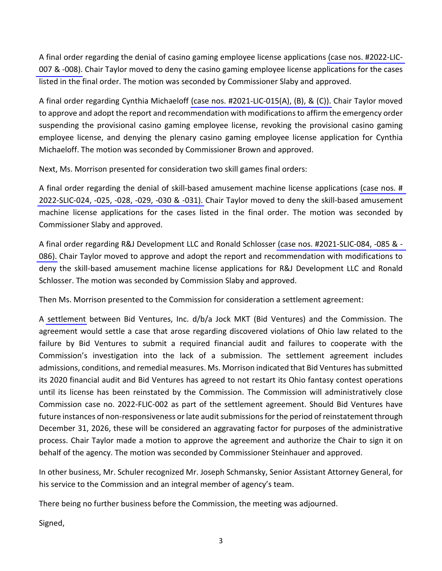A final order regarding the denial of casino gaming employee license applications [\(case nos. #2022-LIC-](https://casinocontrol.ohio.gov/Portals/0/Final%20Orders/2022/May%202022%20CGE%20Bulk%20Denial.pdf?ver=zQxpdjwf1BmQJAI0qQcakA%3d%3d)007 [& -008\).](https://casinocontrol.ohio.gov/Portals/0/Final%20Orders/2022/May%202022%20CGE%20Bulk%20Denial.pdf?ver=zQxpdjwf1BmQJAI0qQcakA%3d%3d) Chair Taylor moved to deny the casino gaming employee license applications for the cases listed in the final order. The motion was seconded by Commissioner Slaby and approved.

A final order regarding Cynthia Michaeloff [\(case nos. #2021-LIC-015\(A\), \(B\), & \(C\)\).](https://casinocontrol.ohio.gov/Portals/0/Final%20Orders/2022/Cynthia%20Michaeloff%20Final%20Order.pdf?ver=QSzwnH2GENp_rRq_F_fpYA%3d%3d) Chair Taylor moved to approve and adopt the report and recommendation with modifications to affirm the emergency order suspending the provisional casino gaming employee license, revoking the provisional casino gaming employee license, and denying the plenary casino gaming employee license application for Cynthia Michaeloff. The motion was seconded by Commissioner Brown and approved.

Next, Ms. Morrison presented for consideration two skill games final orders:

A final order regarding the denial of skill-based amusement machine license applications [\(case nos. #](https://casinocontrol.ohio.gov/Portals/0/Final%20Orders/SBAM%20Final%20Orders/2022/May%202022%20SBAM%20Bulk%20Denial%20Final%20Order.pdf?ver=H9kWNTrhJGjFlOfdIANoaA%3d%3d)  [2022-SLIC-024, -025, -028, -029, -030 & -031\).](https://casinocontrol.ohio.gov/Portals/0/Final%20Orders/SBAM%20Final%20Orders/2022/May%202022%20SBAM%20Bulk%20Denial%20Final%20Order.pdf?ver=H9kWNTrhJGjFlOfdIANoaA%3d%3d) Chair Taylor moved to deny the skill-based amusement machine license applications for the cases listed in the final order. The motion was seconded by Commissioner Slaby and approved.

A final order regarding R&J Development LLC and Ronald Schlosser [\(case nos. #2021-SLIC-084, -085 & -](https://casinocontrol.ohio.gov/LinkClick.aspx?fileticket=cnPdNCxm1ck%3d&portalid=) [086\).](https://casinocontrol.ohio.gov/LinkClick.aspx?fileticket=cnPdNCxm1ck%3d&portalid=0) Chair Taylor moved to approve and adopt the report and recommendation with modifications to deny the skill-based amusement machine license applications for R&J Development LLC and Ronald Schlosser. The motion was seconded by Commission Slaby and approved.

Then Ms. Morrison presented to the Commission for consideration a settlement agreement:

A [settlement](https://casinocontrol.ohio.gov/Portals/0/Final%20Orders/Settlements/Bid%20Ventures%20Settlement%20Agreement%20-%20May%202022.pdf?ver=U4I-SdkBQUNFPVKcex4-Zw%3d%3d) between Bid Ventures, Inc. d/b/a Jock MKT (Bid Ventures) and the Commission. The agreement would settle a case that arose regarding discovered violations of Ohio law related to the failure by Bid Ventures to submit a required financial audit and failures to cooperate with the Commission's investigation into the lack of a submission. The settlement agreement includes admissions, conditions, and remedial measures. Ms. Morrison indicated that Bid Ventures has submitted its 2020 financial audit and Bid Ventures has agreed to not restart its Ohio fantasy contest operations until its license has been reinstated by the Commission. The Commission will administratively close Commission case no. 2022-FLIC-002 as part of the settlement agreement. Should Bid Ventures have future instances of non-responsiveness or late audit submissions for the period of reinstatement through December 31, 2026, these will be considered an aggravating factor for purposes of the administrative process. Chair Taylor made a motion to approve the agreement and authorize the Chair to sign it on behalf of the agency. The motion was seconded by Commissioner Steinhauer and approved.

In other business, Mr. Schuler recognized Mr. Joseph Schmansky, Senior Assistant Attorney General, for his service to the Commission and an integral member of agency's team.

There being no further business before the Commission, the meeting was adjourned.

Signed,